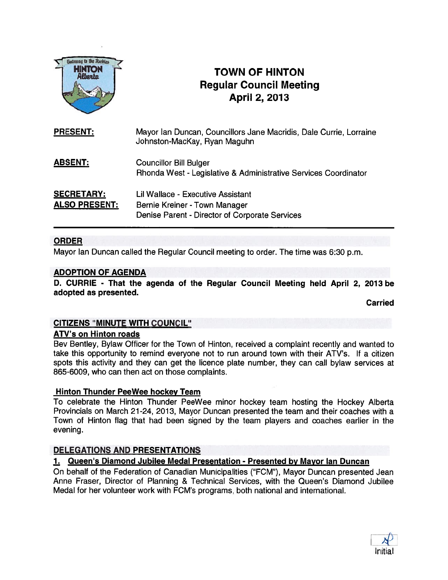

# **INTON F TOWN OF HINTON** Regular Council Meeting April 2, 2013

| <b>PRESENT:</b>                           | Mayor Ian Duncan, Councillors Jane Macridis, Dale Currie, Lorraine<br>Johnston-MacKay, Ryan Maguhn                   |
|-------------------------------------------|----------------------------------------------------------------------------------------------------------------------|
| <b>ABSENT:</b>                            | <b>Councillor Bill Bulger</b><br>Rhonda West - Legislative & Administrative Services Coordinator                     |
| <b>SECRETARY:</b><br><b>ALSO PRESENT:</b> | Lil Wallace - Executive Assistant<br>Bernie Kreiner - Town Manager<br>Denise Parent - Director of Corporate Services |

### ORDER

Mayor Ian Duncan called the Regular Council meeting to order. The time was 6:30 p.m.

### ADOPTION OF AGENDA

D. CURRIE - That the agenda of the Regular Council Meeting held April 2, 2013 be adopted as presented.

Carried

### CITIZENS "MINUTE WITH COUNCIL"

### ATV's on Hinton roads

Bev Bentley, Bylaw Officer for the Town of Hinton, received <sup>a</sup> complaint recently and wanted to take this opportunity to remind everyone not to run around town with their ATV's. If <sup>a</sup> citizen spots this activity and they can ge<sup>t</sup> the licence plate number, they can call bylaw services at 865-6009, who can then act on those complaints.

### Hinton Thunder PeeWee hockey Team

To celebrate the Hinton Thunder PeeWee minor hockey team hosting the Hockey Alberta Provincials on March 21-24, 2013, Mayor Duncan presented the team and their coaches with <sup>a</sup> Town of Hinton flag that had been signed by the team players and coaches earlier in the evening.

### DELEGATIONS AND PRESENTATIONS

### 1. Queen's Diamond Jubilee Medal Presentation - Presented by Mayor Ian Duncan

On behalf of the Federation of Canadian Municipalities ("FCM"), Mayor Duncan presented Jean Anne Fraser, Director of Planning & Technical Services, with the Queen's Diamond Jubilee Medal for her volunteer work with FCM's programs, both national and international.

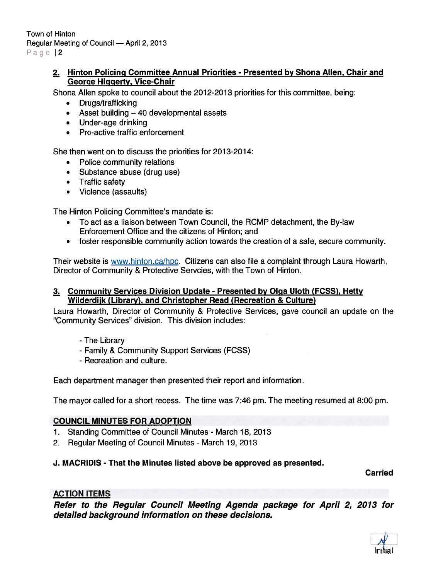### 2. Hinton Policing Committee Annual Priorities - Presented by Shona Allen, Chair and George Higgerty, Vice-Chair

Shona Allen spoke to council about the 2012-2013 priorities for this committee, being:

- Drugs/trafficking
- Asset building 40 developmental assets
- Under-age drinking
- Pro-active traffic enforcement

She then went on to discuss the priorities for 2013-2014:

- Police community relations
- Substance abuse (drug use)
- Traffic safety
- Violence (assaults)

The Hinton Policing Committee's mandate is:

- To act as <sup>a</sup> liaison between Town Council, the RCMP detachment, the By-law Enforcement Office and the citizens of Hinton; and
- foster responsible community action towards the creation of <sup>a</sup> safe, secure community.

Their website is www.hinton.ca/hpc. Citizens can also file a complaint through Laura Howarth, Director of Community & Protective Servcies, with the Town of Hinton.

### 3. Community Services Division Update - Presented by Olga Uloth (FCSS), Hetty Wilderdijk (Library), and Christopher Read (Recreation & Culture)

Laura Howarth, Director of Community & Protective Services, gave council an update on the 'Community Services" division. This division includes:

- -The Library
- Family & Community Support Services (FCSS)
- Recreation and culture.

Each department manager then presented their repor<sup>t</sup> and information.

The mayor called for <sup>a</sup> short recess. The time was 7:46 pm. The meeting resumed at 8:00 pm.

### COUNCIL MINUTES FOR ADOPTION

- 1. Standing Committee of Council Minutes March 18, 2013
- 2. Regular Meeting of Council Minutes March 19, 2013

### J. MACRIDIS - That the Minutes listed above be approved as presented.

Carried

### ACTION ITEMS

Refer to the Regular Council Meeting Agenda package for April 2, 2013 for detailed background information on these decisions.

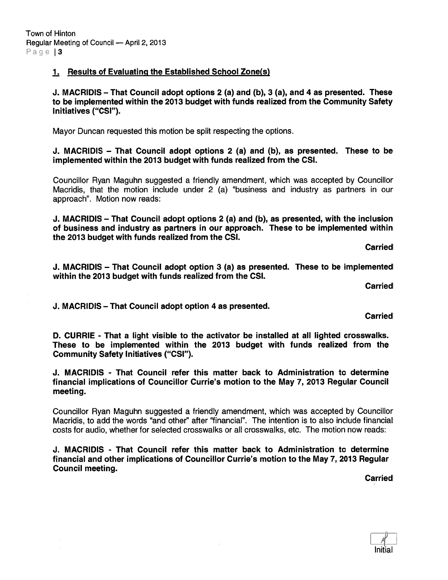### 1. Results of Evaluating the Established School Zone(s)

J. MACRIDIS — That Council adopt options 2 (a) and (b), 3 (a), and 4 as presented. These to be implemented within the 2013 budget with funds realized from the Community Safety Initiatives ("CSI").

Mayor Duncan requested this motion be split respecting the options.

J. MACRIDIS — That Council adopt options 2 (a) and (b), as presented. These to be implemented within the 2013 budget with funds realized from the CSI.

Councillor Ryan Maguhn suggested <sup>a</sup> friendly amendment, which was accepted by Councillor Macridis, that the motion include under 2 (a) "business and industry as partners in our approach". Motion now reads:

J. MACRIDIS — That Council adopt options 2 (a) and (b), as presented, with the inclusion of business and industry as partners in our approach. These to be implemented within the 2013 budget with funds realized from the CSI.

Carried

J. MACRIDIS — That Council adopt option 3 (a) as presented. These to be implemented within the 2013 budget with funds realized from the CSI.

Carried

J. MACRIDIS — That Council adopt option 4 as presented.

**Carried** 

D. CURRIE - That <sup>a</sup> light visible to the activator be installed at all lighted crosswalks. These to be implemented within the 2013 budget with funds realized from the Community Safety Initiatives ("CSI").

J. MACRIDIS - That Council refer this matter back to Administration to determine financial implications of Councillor Currie's motion to the May 7, 2013 Regular Council meeting.

Councillor Ryan Maguhn suggested <sup>a</sup> friendly amendment, which was accepted by Councillor Macridis, to add the words "and other" after "financial". The intention is to also include financial costs for audio, whether for selected crosswalks or all crosswalks, etc. The motion now reads:

J. MACRIDIS - That Council refer this matter back to Administration to determine financial and other implications of Councillor Currie's motion to the May 7, 2013 Regular Council meeting.

Carried

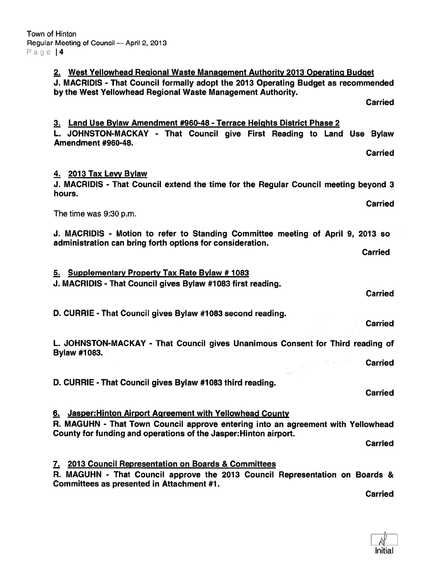2. West Yellowhead Regional Waste Management Authority 2013 Operating Budget J. MACRIDIS - That Council formally adopt the 2013 Operating Budget as recommended by the West Yellowhead Regional Waste Management Authority. **Carried** 3. Land Use Bylaw Amendment #960-48 - Terrace Heights District Phase 2 L. JOHNSTON-MACKAY - That Council give First Reading to Land Use Bylaw Amendment #960-48. Carried 4. 2013 Tax Levy Bylaw J. MACRIDIS - That Council extend the time for the Regular Council meeting beyond 3 hours. Carried The time was 9:30 p.m. J. MACRIDIS - Motion to refer to Standing Committee meeting of April 9, 2013 so administration can bring forth options for consideration. **Carried** 5. Supplementary Property Tax Rate Bylaw # 1083 J. MACRIDIS - That Council gives Bylaw #1083 first reading. **Carried** D. CURRIE - That Council gives Bylaw #1083 second reading. Carried L. JOHNSTON-MACKAY - That Council gives Unanimous Consent for Third reading of Bylaw #1083.  $\tilde{g}$  interaction with Carried D. CURRIE - That Council gives Bylaw #1083 third reading. Carried 6. Jasper:Hinton Airport Agreement with Yellowhead County R. MAGUHN - That Town Council approve entering into an agreemen<sup>t</sup> with Yellowhead County for funding and operations of the Jasper:Hinton airport. **Carried** 7. 2013 Council Representation on Boards & Committees R. MAGUHN - That Council approve the 2013 Council Representation on Boards & Committees as presented in Attachment #1. Carried

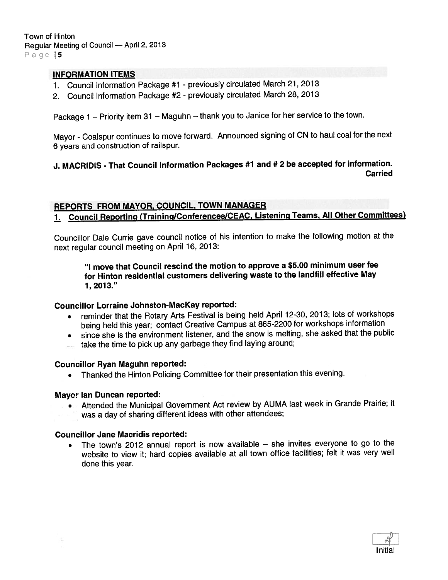Town of Hinton Regular Meeting of Council — April 2, <sup>2013</sup> Page 5

#### INFORMATION ITEMS

- 1. Council Information Package #1 previously circulated March 21, <sup>2013</sup>
- 2. Council Information Package #2 previously circulated March 28, <sup>2013</sup>

Package <sup>1</sup> — Priority item <sup>31</sup> — Maguhn — thank you to Janice for her service to the town.

Mayor - Coalspur continues to move forward. Announced signing of CN to haul coal for the next <sup>6</sup> years and construction of railspur.

### J. MACRIDIS - That Council Information Packages #1 and # <sup>2</sup> be accepted for information. Carried

### REPORTS FROM MAYOR, COUNCIL, TOWN MANAGER

## 1. Council Reporting (Training/Conferences/CEAC, Listening Teams, All Other Committees)

Councillor Dale Currie gave council notice of his intention to make the following motion at the next regular council meeting on April 16, 2013:

#### "I move that Council rescind the motion to approve <sup>a</sup> \$5.00 minimum user fee for Hinton residential customers delivering waste to the landfill effective May 1, 2013."

#### Councillor Lorraine Johnston-MacKay reported:

- reminder that the Rotary Arts Festival is being held April 12-30, 2013; lots of workshops being held this year; contact Creative Campus at 865-2200 for workshops information
- since she is the environment listener, and the snow is melting, she asked that the public
- take the time to <sup>p</sup>ick up any garbage they find laying around;

#### Councillor Ryan Maguhn reported:

• Thanked the Hinton Policing Committee for their presentation this evening.

#### Mayor Ian Duncan reported:

 $\bullet$  Attended the Municipal Government Act review by AUMA last week in Grande Prairie; it was a day of sharing different ideas with other attendees;

#### Councillor Jane Macridis reported:

• The town's <sup>2012</sup> annual repor<sup>t</sup> is now available — she invites everyone to go to the website to view it; hard copies available at all town office facilities; felt it was very well done this year.